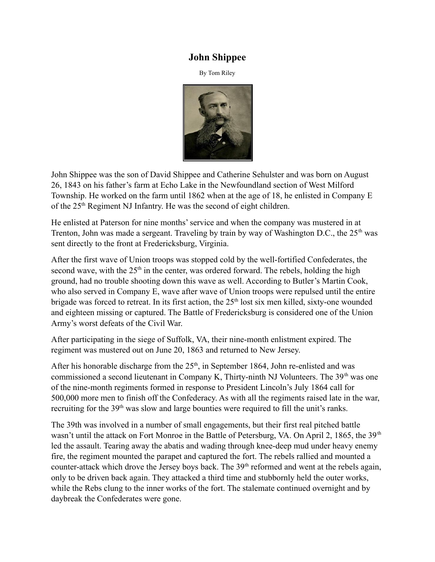## **John Shippee**

By Tom Riley



John Shippee was the son of David Shippee and Catherine Sehulster and was born on August 26, 1843 on his father's farm at Echo Lake in the Newfoundland section of West Milford Township. He worked on the farm until 1862 when at the age of 18, he enlisted in Company E of the 25<sup>th</sup> Regiment NJ Infantry. He was the second of eight children.

He enlisted at Paterson for nine months' service and when the company was mustered in at Trenton, John was made a sergeant. Traveling by train by way of Washington D.C., the 25<sup>th</sup> was sent directly to the front at Fredericksburg, Virginia.

After the first wave of Union troops was stopped cold by the well-fortified Confederates, the second wave, with the  $25<sup>th</sup>$  in the center, was ordered forward. The rebels, holding the high ground, had no trouble shooting down this wave as well. According to Butler's Martin Cook, who also served in Company E, wave after wave of Union troops were repulsed until the entire brigade was forced to retreat. In its first action, the 25<sup>th</sup> lost six men killed, sixty-one wounded and eighteen missing or captured. The Battle of Fredericksburg is considered one of the Union Army's worst defeats of the Civil War.

After participating in the siege of Suffolk, VA, their nine-month enlistment expired. The regiment was mustered out on June 20, 1863 and returned to New Jersey.

After his honorable discharge from the  $25<sup>th</sup>$ , in September 1864, John re-enlisted and was commissioned a second lieutenant in Company K, Thirty-ninth NJ Volunteers. The  $39<sup>th</sup>$  was one of the nine-month regiments formed in response to President Lincoln's July 1864 call for 500,000 more men to finish off the Confederacy. As with all the regiments raised late in the war, recruiting for the 39<sup>th</sup> was slow and large bounties were required to fill the unit's ranks.

The 39th was involved in a number of small engagements, but their first real pitched battle wasn't until the attack on Fort Monroe in the Battle of Petersburg, VA. On April 2, 1865, the 39<sup>th</sup> led the assault. Tearing away the abatis and wading through knee-deep mud under heavy enemy fire, the regiment mounted the parapet and captured the fort. The rebels rallied and mounted a counter-attack which drove the Jersey boys back. The 39<sup>th</sup> reformed and went at the rebels again, only to be driven back again. They attacked a third time and stubbornly held the outer works, while the Rebs clung to the inner works of the fort. The stalemate continued overnight and by daybreak the Confederates were gone.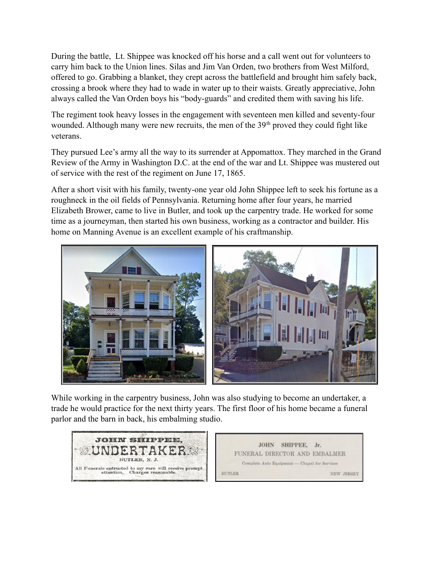During the battle, Lt. Shippee was knocked off his horse and a call went out for volunteers to carry him back to the Union lines. Silas and Jim Van Orden, two brothers from West Milford, offered to go. Grabbing a blanket, they crept across the battlefield and brought him safely back, crossing a brook where they had to wade in water up to their waists. Greatly appreciative, John always called the Van Orden boys his "body-guards" and credited them with saving his life.

The regiment took heavy losses in the engagement with seventeen men killed and seventy-four wounded. Although many were new recruits, the men of the  $39<sup>th</sup>$  proved they could fight like veterans.

They pursued Lee's army all the way to its surrender at Appomattox. They marched in the Grand Review of the Army in Washington D.C. at the end of the war and Lt. Shippee was mustered out of service with the rest of the regiment on June 17, 1865.

After a short visit with his family, twenty-one year old John Shippee left to seek his fortune as a roughneck in the oil fields of Pennsylvania. Returning home after four years, he married Elizabeth Brower, came to live in Butler, and took up the carpentry trade. He worked for some time as a journeyman, then started his own business, working as a contractor and builder. His home on Manning Avenue is an excellent example of his craftmanship.



While working in the carpentry business, John was also studying to become an undertaker, a trade he would practice for the next thirty years. The first floor of his home became a funeral parlor and the barn in back, his embalming studio.